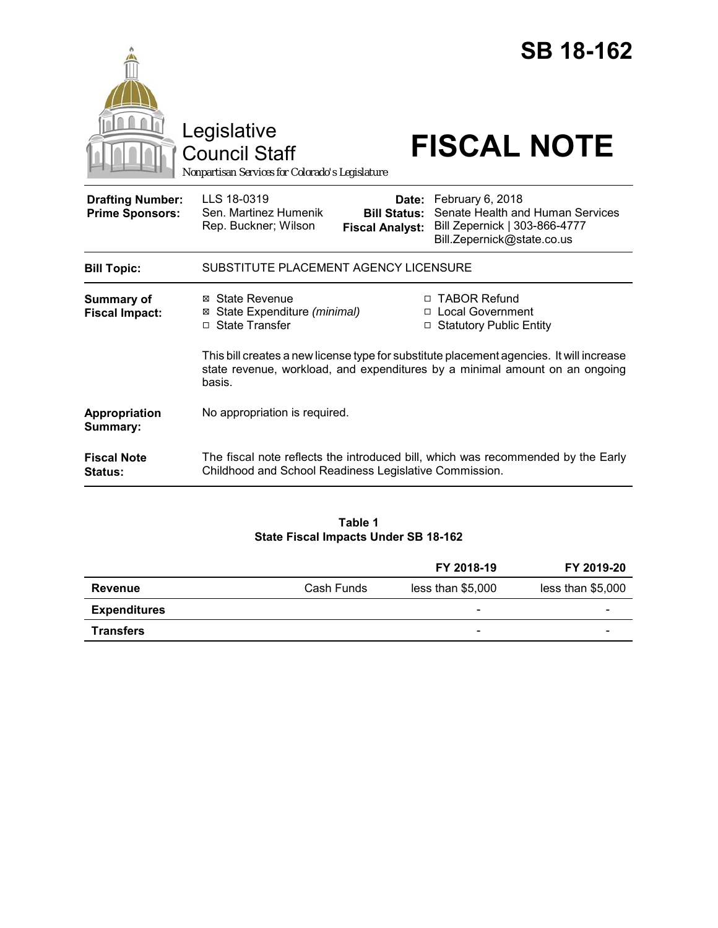|                                                   | <b>SB 18-162</b><br>Legislative<br><b>FISCAL NOTE</b><br><b>Council Staff</b><br>Nonpartisan Services for Colorado's Legislature                                                                                                              |  |  |
|---------------------------------------------------|-----------------------------------------------------------------------------------------------------------------------------------------------------------------------------------------------------------------------------------------------|--|--|
| <b>Drafting Number:</b><br><b>Prime Sponsors:</b> | LLS 18-0319<br>February 6, 2018<br>Date:<br>Senate Health and Human Services<br>Sen. Martinez Humenik<br><b>Bill Status:</b><br>Bill Zepernick   303-866-4777<br>Rep. Buckner; Wilson<br><b>Fiscal Analyst:</b><br>Bill.Zepernick@state.co.us |  |  |
| <b>Bill Topic:</b>                                | SUBSTITUTE PLACEMENT AGENCY LICENSURE                                                                                                                                                                                                         |  |  |
| Summary of<br><b>Fiscal Impact:</b>               | □ TABOR Refund<br><b>State Revenue</b><br>⊠<br>□ Local Government<br>State Expenditure (minimal)<br>⊠<br>□ State Transfer<br>□ Statutory Public Entity                                                                                        |  |  |
|                                                   | This bill creates a new license type for substitute placement agencies. It will increase<br>state revenue, workload, and expenditures by a minimal amount on an ongoing<br>basis.                                                             |  |  |
| Appropriation<br>Summary:                         | No appropriation is required.                                                                                                                                                                                                                 |  |  |
| <b>Fiscal Note</b><br><b>Status:</b>              | The fiscal note reflects the introduced bill, which was recommended by the Early<br>Childhood and School Readiness Legislative Commission.                                                                                                    |  |  |

# **Table 1 State Fiscal Impacts Under SB 18-162**

|                     |            | FY 2018-19               | FY 2019-20        |
|---------------------|------------|--------------------------|-------------------|
| <b>Revenue</b>      | Cash Funds | less than \$5,000        | less than \$5,000 |
| <b>Expenditures</b> |            | $\overline{\phantom{0}}$ | -                 |
| <b>Transfers</b>    |            | -                        | -                 |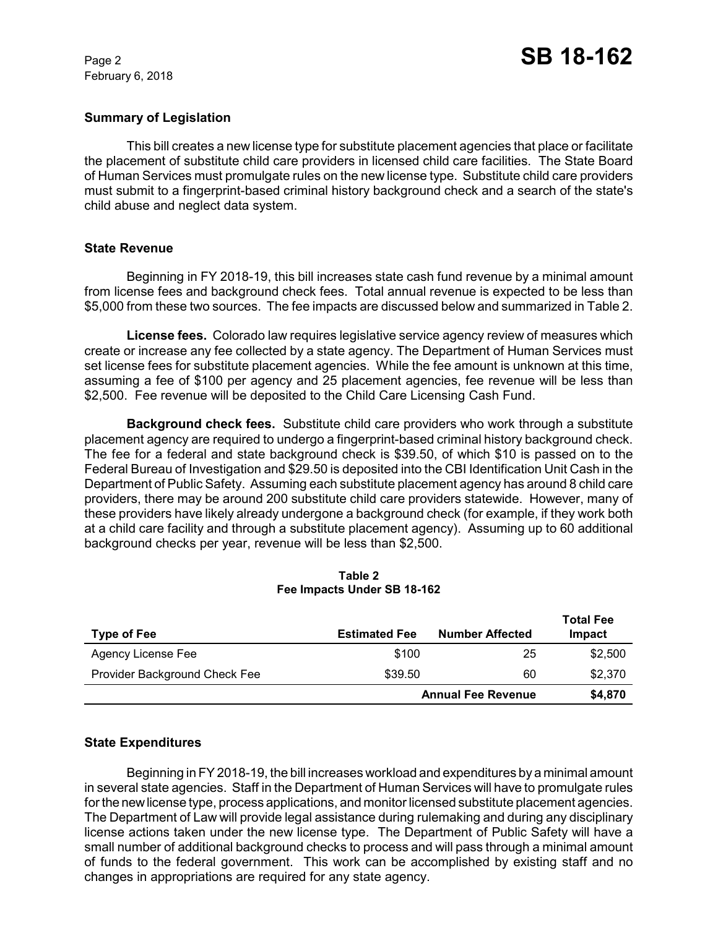February 6, 2018

### **Summary of Legislation**

This bill creates a new license type for substitute placement agencies that place or facilitate the placement of substitute child care providers in licensed child care facilities. The State Board of Human Services must promulgate rules on the new license type. Substitute child care providers must submit to a fingerprint-based criminal history background check and a search of the state's child abuse and neglect data system.

#### **State Revenue**

Beginning in FY 2018-19, this bill increases state cash fund revenue by a minimal amount from license fees and background check fees. Total annual revenue is expected to be less than \$5,000 from these two sources. The fee impacts are discussed below and summarized in Table 2.

**License fees.** Colorado law requires legislative service agency review of measures which create or increase any fee collected by a state agency. The Department of Human Services must set license fees for substitute placement agencies. While the fee amount is unknown at this time, assuming a fee of \$100 per agency and 25 placement agencies, fee revenue will be less than \$2,500. Fee revenue will be deposited to the Child Care Licensing Cash Fund.

**Background check fees.** Substitute child care providers who work through a substitute placement agency are required to undergo a fingerprint-based criminal history background check. The fee for a federal and state background check is \$39.50, of which \$10 is passed on to the Federal Bureau of Investigation and \$29.50 is deposited into the CBI Identification Unit Cash in the Department of Public Safety. Assuming each substitute placement agency has around 8 child care providers, there may be around 200 substitute child care providers statewide. However, many of these providers have likely already undergone a background check (for example, if they work both at a child care facility and through a substitute placement agency). Assuming up to 60 additional background checks per year, revenue will be less than \$2,500.

| <b>Type of Fee</b>            | <b>Estimated Fee</b>      | <b>Number Affected</b> | <b>Total Fee</b><br>Impact |
|-------------------------------|---------------------------|------------------------|----------------------------|
| Agency License Fee            | \$100                     | 25                     | \$2,500                    |
| Provider Background Check Fee | \$39.50                   | 60                     | \$2,370                    |
|                               | <b>Annual Fee Revenue</b> |                        | \$4,870                    |

#### **Table 2 Fee Impacts Under SB 18-162**

### **State Expenditures**

Beginning in FY 2018-19, the bill increases workload and expenditures by a minimal amount in several state agencies. Staff in the Department of Human Services will have to promulgate rules for the new license type, process applications, and monitor licensed substitute placement agencies. The Department of Law will provide legal assistance during rulemaking and during any disciplinary license actions taken under the new license type. The Department of Public Safety will have a small number of additional background checks to process and will pass through a minimal amount of funds to the federal government. This work can be accomplished by existing staff and no changes in appropriations are required for any state agency.